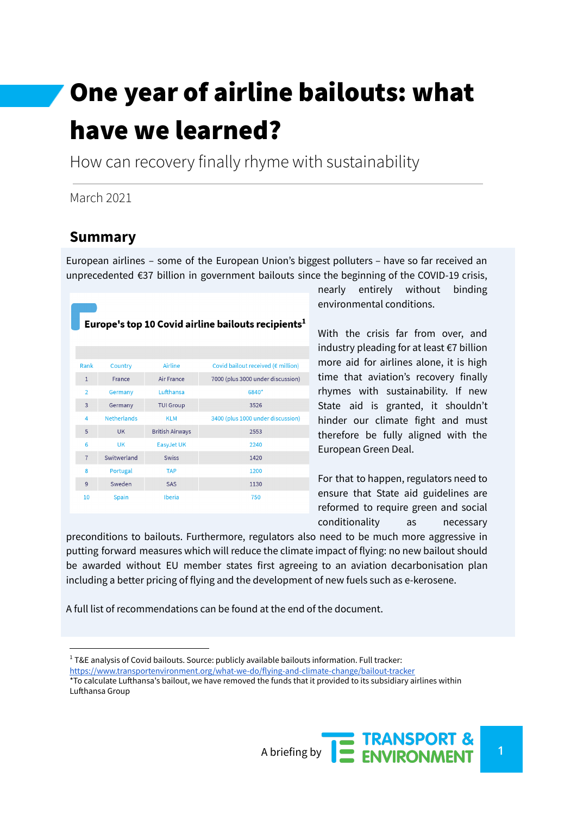# One year of airline bailouts: what have we learned?

How can recovery finally rhyme with sustainability

#### March 2021

#### **Summary**

European airlines – some of the European Union's biggest polluters – have so far received an unprecedented €37 billion in government bailouts since the beginning of the COVID-19 crisis,

| Europe's top 10 Covid airline bailouts recipients <sup>1</sup> |                    |                        |                                                 |
|----------------------------------------------------------------|--------------------|------------------------|-------------------------------------------------|
|                                                                |                    |                        |                                                 |
| Rank                                                           | Country            | Airline                | Covid bailout received ( $\varepsilon$ million) |
| $\mathbf{1}$                                                   | France             | Air France             | 7000 (plus 3000 under discussion)               |
| $\overline{2}$                                                 | Germany            | Lufthansa              | 6840*                                           |
| 3                                                              | Germany            | <b>TUI Group</b>       | 3526                                            |
| 4                                                              | <b>Netherlands</b> | <b>KLM</b>             | 3400 (plus 1000 under discussion)               |
| 5                                                              | <b>UK</b>          | <b>British Airways</b> | 2553                                            |
| 6                                                              | <b>UK</b>          | EasyJet UK             | 2240                                            |
| $\overline{7}$                                                 | Switwerland        | <b>Swiss</b>           | 1420                                            |
| 8                                                              | Portugal           | <b>TAP</b>             | 1200                                            |
| 9                                                              | Sweden             | <b>SAS</b>             | 1130                                            |
| 10                                                             | Spain              | Iberia                 | 750                                             |

nearly entirely without binding environmental conditions.

With the crisis far from over, and industry pleading for at least €7 billion more aid for airlines alone, it is high time that aviation's recovery finally rhymes with sustainability. If new State aid is granted, it shouldn't hinder our climate fight and must therefore be fully aligned with the European Green Deal.

For that to happen, regulators need to ensure that State aid guidelines are reformed to require green and social conditionality as necessary

preconditions to bailouts. Furthermore, regulators also need to be much more aggressive in putting forward measures which will reduce the climate impact of flying: no new bailout should be awarded without EU member states first agreeing to an aviation decarbonisation plan including a better pricing of flying and the development of new fuels such as e-kerosene.

A full list of recommendations can be found at the end of the document.

<sup>\*</sup>To calculate Lufthansa's bailout, we have removed the funds that it provided to its subsidiary airlines within Lufthansa Group



 $1$  T&E analysis of Covid bailouts. Source: publicly available bailouts information. Full tracker: <https://www.transportenvironment.org/what-we-do/flying-and-climate-change/bailout-tracker>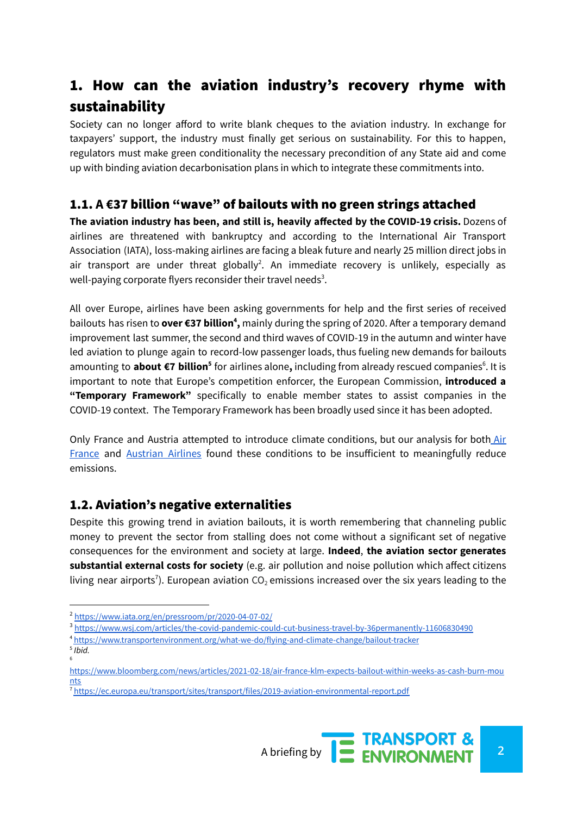# 1. How can the aviation industry's recovery rhyme with sustainability

Society can no longer afford to write blank cheques to the aviation industry. In exchange for taxpayers' support, the industry must finally get serious on sustainability. For this to happen, regulators must make green conditionality the necessary precondition of any State aid and come up with binding aviation decarbonisation plans in which to integrate these commitments into.

#### 1.1. **A €**37 billion "wave" of bailouts with no green strings attached

**The aviation industry has been, and still is, heavily affected by the COVID-19 crisis.** Dozens of airlines are threatened with bankruptcy and according to the International Air Transport Association (IATA), loss-making airlines are facing a bleak future and nearly 25 million direct jobs in air transport are under threat globally<sup>2</sup>. An immediate recovery is unlikely, especially as well-paying corporate flyers reconsider their travel needs<sup>3</sup>.

All over Europe, airlines have been asking governments for help and the first series of received bailouts has risen to over €37 billion<sup>4</sup>, mainly during the spring of 2020. After a temporary demand improvement last summer, the second and third waves of COVID-19 in the autumn and winter have led aviation to plunge again to record-low passenger loads, thus fueling new demands for bailouts amounting to **about €7 billion<sup>5</sup> for airlines alone, including from already rescued companies<sup>6</sup>. It is** important to note that Europe's competition enforcer, the European Commission, **introduced a "Temporary Framework"** specifically to enable member states to assist companies in the COVID-19 context. The Temporary Framework has been broadly used since it has been adopted.

Only France and Austria attempted to introduce climate conditions, but our analysis for both [Air](https://www.transportenvironment.org/publications/air-frances-bailout-climate-conditions-explained) [France](https://www.transportenvironment.org/publications/air-frances-bailout-climate-conditions-explained) and [Austrian](https://www.transportenvironment.org/publications/austrian-airlines-bailout-climate-conditions-explained) Airlines found these conditions to be insufficient to meaningfully reduce emissions.

#### 1.2. Aviation's negative externalities

Despite this growing trend in aviation bailouts, it is worth remembering that channeling public money to prevent the sector from stalling does not come without a significant set of negative consequences for the environment and society at large. **Indeed**, **the aviation sector generates substantial external costs for society** (e.g. air pollution and noise pollution which affect citizens living near airports<sup>7</sup>). European aviation CO<sub>2</sub> emissions increased over the six years leading to the

6 5 *Ibid.*

<sup>7</sup> <https://ec.europa.eu/transport/sites/transport/files/2019-aviation-environmental-report.pdf>



<sup>2</sup> <https://www.iata.org/en/pressroom/pr/2020-04-07-02/>

<sup>3</sup> <https://www.wsj.com/articles/the-covid-pandemic-could-cut-business-travel-by-36permanently-11606830490>

<sup>4</sup> <https://www.transportenvironment.org/what-we-do/flying-and-climate-change/bailout-tracker>

[https://www.bloomberg.com/news/articles/2021-02-18/air-france-klm-expects-bailout-within-weeks-as-cash-burn-mou](https://www.bloomberg.com/news/articles/2021-02-18/air-france-klm-expects-bailout-within-weeks-as-cash-burn-mounts) [nts](https://www.bloomberg.com/news/articles/2021-02-18/air-france-klm-expects-bailout-within-weeks-as-cash-burn-mounts)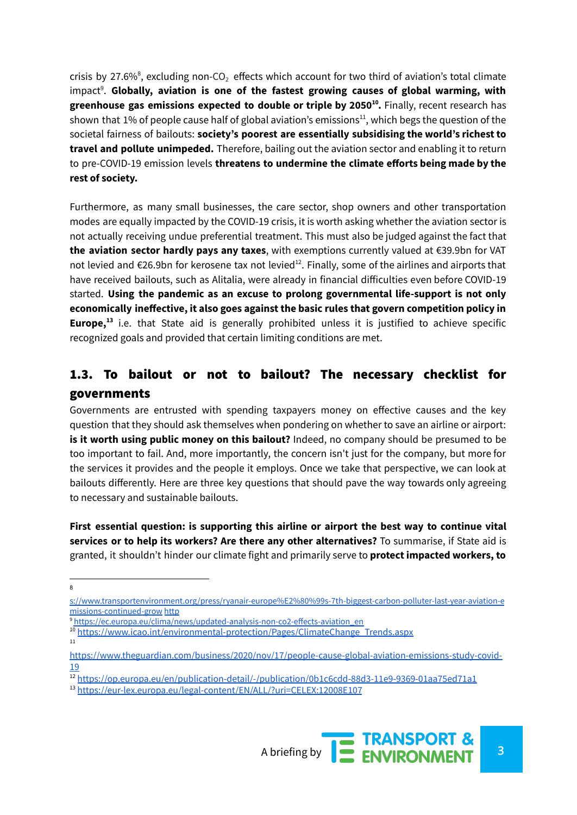crisis by 27.6%<sup>8</sup>, excluding non-CO<sub>2</sub> effects which account for two third of aviation's total climate impact<sup>9</sup>. Globally, aviation is one of the fastest growing causes of global warming, with **greenhouse gas emissions expected to double or triple by 2050 .** Finally, recent research has **10** shown that 1% of people cause half of global aviation's emissions $^{11}$ , which begs the question of the societal fairness of bailouts: **society's poorest are essentially subsidising the world's richest to travel and pollute unimpeded.** Therefore, bailing out the aviation sector and enabling it to return to pre-COVID-19 emission levels **threatens to undermine the climate efforts being made by the rest of society.**

Furthermore, as many small businesses, the care sector, shop owners and other transportation modes are equally impacted by the COVID-19 crisis, it is worth asking whether the aviation sector is not actually receiving undue preferential treatment. This must also be judged against the fact that **the aviation sector hardly pays any taxes**, with exemptions currently valued at €39.9bn for VAT not levied and  $\epsilon$ 26.9bn for kerosene tax not levied<sup>12</sup>. Finally, some of the airlines and airports that have received bailouts, such as Alitalia, were already in financial difficulties even before COVID-19 started. **Using the pandemic as an excuse to prolong governmental life-support is not only economically ineffective, it also goes against the basic rules that govern competition policy in Europe,**<sup>13</sup> i.e. that State aid is generally prohibited unless it is justified to achieve specific recognized goals and provided that certain limiting conditions are met.

#### 1.3. To bailout or not to bailout? The necessary checklist for governments

Governments are entrusted with spending taxpayers money on effective causes and the key question that they should ask themselves when pondering on whether to save an airline or airport: **is it worth using public money on this bailout?** Indeed, no company should be presumed to be too important to fail. And, more importantly, the concern isn't just for the company, but more for the services it provides and the people it employs. Once we take that perspective, we can look at bailouts differently. Here are three key questions that should pave the way towards only agreeing to necessary and sustainable bailouts.

**First essential question: is supporting this airline or airport the best way to continue vital services or to help its workers? Are there any other alternatives?** To summarise, if State aid is granted, it shouldn't hinder our climate fight and primarily serve to **protect impacted workers, to**

<sup>13</sup> <https://eur-lex.europa.eu/legal-content/EN/ALL/?uri=CELEX:12008E107>



<sup>8</sup>

[s://www.transportenvironment.org/press/ryanair-europe%E2%80%99s-7th-biggest-carbon-polluter-last-year-aviation-e](https://www.transportenvironment.org/press/ryanair-europe%E2%80%99s-7th-biggest-carbon-polluter-last-year-aviation-emissions-continued-grow) [missions-continued-grow](https://www.transportenvironment.org/press/ryanair-europe%E2%80%99s-7th-biggest-carbon-polluter-last-year-aviation-emissions-continued-grow) [http](https://www.transportenvironment.org/press/ryanair-europe%E2%80%99s-7th-biggest-carbon-polluter-last-year-aviation-emissions-continued-grow)

<sup>9</sup> [https://ec.europa.eu/clima/news/updated-analysis-non-co2-effects-aviation\\_en](https://ec.europa.eu/clima/news/updated-analysis-non-co2-effects-aviation_en)

<sup>&</sup>lt;sup>10</sup> [https://www.icao.int/environmental-protection/Pages/ClimateChange\\_Trends.aspx](https://www.icao.int/environmental-protection/Pages/ClimateChange_Trends.aspx)

<sup>11</sup>

[https://www.theguardian.com/business/2020/nov/17/people-cause-global-aviation-emissions-study-covid-](https://www.theguardian.com/business/2020/nov/17/people-cause-global-aviation-emissions-study-covid-19)[19](https://www.theguardian.com/business/2020/nov/17/people-cause-global-aviation-emissions-study-covid-19)

<sup>12</sup> <https://op.europa.eu/en/publication-detail/-/publication/0b1c6cdd-88d3-11e9-9369-01aa75ed71a1>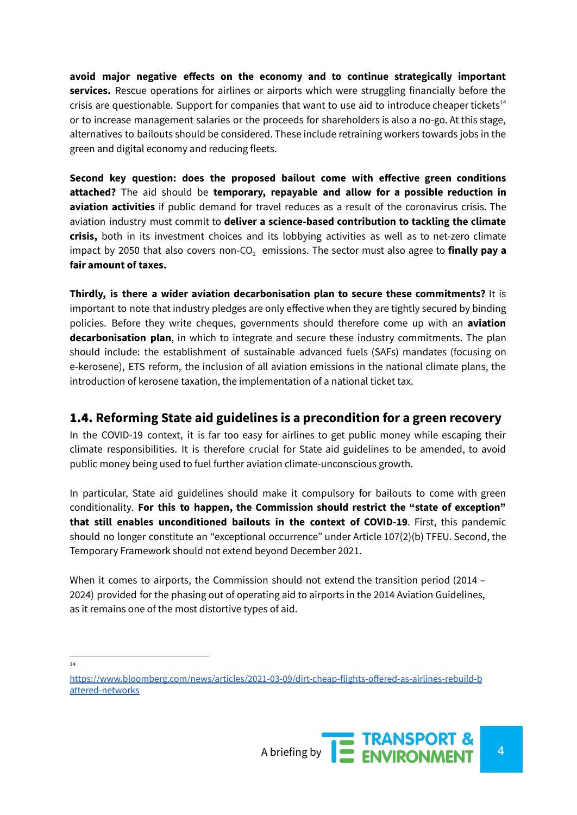**avoid major negative effects on the economy and to continue strategically important services.** Rescue operations for airlines or airports which were struggling financially before the crisis are questionable. Support for companies that want to use aid to introduce cheaper tickets<sup>14</sup> or to increase management salaries or the proceeds for shareholders is also a no-go. At this stage, alternatives to bailouts should be considered. These include retraining workers towards jobs in the green and digital economy and reducing fleets.

**Second key question: does the proposed bailout come with effective green conditions attached?** The aid should be **temporary, repayable and allow for a possible reduction in aviation activities** if public demand for travel reduces as a result of the coronavirus crisis. The aviation industry must commit to **deliver a science-based contribution to tackling the climate crisis,** both in its investment choices and its lobbying activities as well as to net-zero climate impact by 2050 that also covers non-CO<sub>2</sub> emissions. The sector must also agree to **finally pay a fair amount of taxes.**

**Thirdly, is there a wider aviation decarbonisation plan to secure these commitments?** It is important to note that industry pledges are only effective when they are tightly secured by binding policies. Before they write cheques, governments should therefore come up with an **aviation decarbonisation plan**, in which to integrate and secure these industry commitments. The plan should include: the establishment of sustainable advanced fuels (SAFs) mandates (focusing on e-kerosene), ETS reform, the inclusion of all aviation emissions in the national climate plans, the introduction of kerosene taxation, the implementation of a national ticket tax.

#### 1.4. **Reforming State aid guidelines is a precondition for a green recovery**

In the COVID-19 context, it is far too easy for airlines to get public money while escaping their climate responsibilities. It is therefore crucial for State aid guidelines to be amended, to avoid public money being used to fuel further aviation climate-unconscious growth.

In particular, State aid guidelines should make it compulsory for bailouts to come with green conditionality. **For this to happen, the Commission should restrict the "state of exception" that still enables unconditioned bailouts in the context of COVID-19**. First, this pandemic should no longer constitute an "exceptional occurrence" under Article 107(2)(b) TFEU. Second, the Temporary Framework should not extend beyond December 2021.

When it comes to airports, the Commission should not extend the transition period (2014 – 2024) provided for the phasing out of operating aid to airports in the 2014 Aviation Guidelines, as it remains one of the most distortive types of aid.

14

[https://www.bloomberg.com/news/articles/2021-03-09/dirt-cheap-flights-offered-as-airlines-rebuild-b](https://www.bloomberg.com/news/articles/2021-03-09/dirt-cheap-flights-offered-as-airlines-rebuild-battered-networks) [attered-networks](https://www.bloomberg.com/news/articles/2021-03-09/dirt-cheap-flights-offered-as-airlines-rebuild-battered-networks)

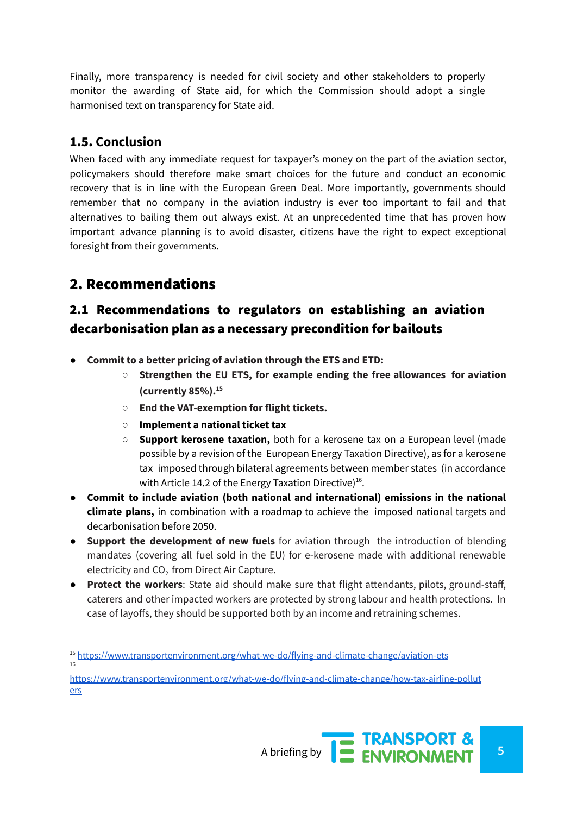Finally, more transparency is needed for civil society and other stakeholders to properly monitor the awarding of State aid, for which the Commission should adopt a single harmonised text on transparency for State aid.

#### 1.5. **Conclusion**

When faced with any immediate request for taxpayer's money on the part of the aviation sector, policymakers should therefore make smart choices for the future and conduct an economic recovery that is in line with the European Green Deal. More importantly, governments should remember that no company in the aviation industry is ever too important to fail and that alternatives to bailing them out always exist. At an unprecedented time that has proven how important advance planning is to avoid disaster, citizens have the right to expect exceptional foresight from their governments.

## 2. Recommendations

### 2.1 Recommendations to regulators on establishing an aviation decarbonisation plan as a necessary precondition for bailouts

- **Commit to a better pricing of aviation through the ETS and ETD:**
	- **○ Strengthen the EU ETS, for example ending the free allowances for aviation (currently 85%). 15**
	- **End the VAT-exemption for flight tickets.**
	- **Implement a national ticket tax**
	- **Support kerosene taxation,** both for a kerosene tax on a European level (made possible by a revision of the European Energy Taxation Directive), as for a kerosene tax imposed through bilateral agreements between member states (in accordance with Article 14.2 of the Energy Taxation Directive)<sup>16</sup>.
- **Commit to include aviation (both national and international) emissions in the national climate plans,** in combination with a roadmap to achieve the imposed national targets and decarbonisation before 2050.
- **Support the development of new fuels** for aviation through the introduction of blending mandates (covering all fuel sold in the EU) for e-kerosene made with additional renewable electricity and  $CO<sub>2</sub>$  from Direct Air Capture.
- **Protect the workers**: State aid should make sure that flight attendants, pilots, ground-staff, caterers and other impacted workers are protected by strong labour and health protections. In case of layoffs, they should be supported both by an income and retraining schemes.

[https://www.transportenvironment.org/what-we-do/flying-and-climate-change/how-tax-airline-pollut](https://www.transportenvironment.org/what-we-do/flying-and-climate-change/how-tax-airline-polluters) [ers](https://www.transportenvironment.org/what-we-do/flying-and-climate-change/how-tax-airline-polluters)



<sup>16</sup> <sup>15</sup> <https://www.transportenvironment.org/what-we-do/flying-and-climate-change/aviation-ets>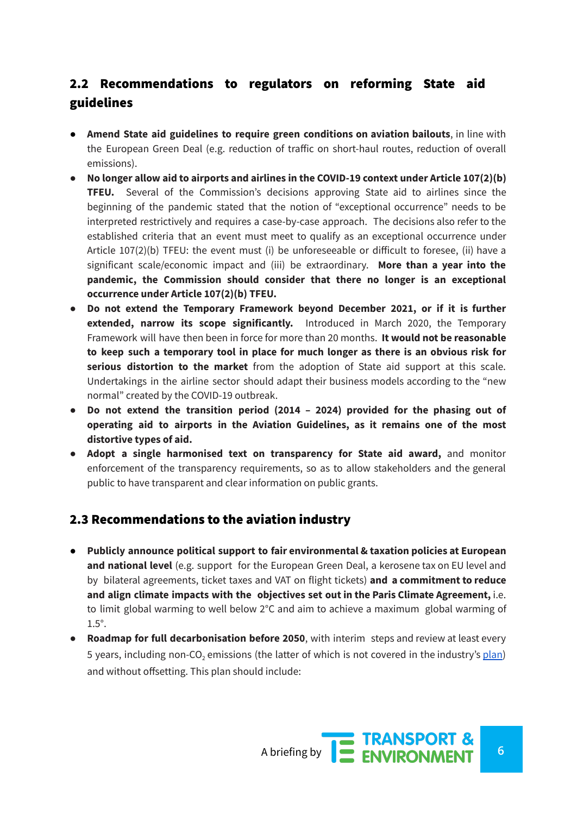## 2.2 Recommendations to regulators on reforming State aid guidelines

- **Amend State aid guidelines to require green conditions on aviation bailouts**, in line with the European Green Deal (e.g. reduction of traffic on short-haul routes, reduction of overall emissions).
- **No longer allow aid to airports and airlines in the COVID-19 context under Article 107(2)(b) TFEU.** Several of the Commission's decisions approving State aid to airlines since the beginning of the pandemic stated that the notion of "exceptional occurrence" needs to be interpreted restrictively and requires a case-by-case approach. The decisions also refer to the established criteria that an event must meet to qualify as an exceptional occurrence under Article 107(2)(b) TFEU: the event must (i) be unforeseeable or difficult to foresee, (ii) have a significant scale/economic impact and (iii) be extraordinary. **More than a year into the pandemic, the Commission should consider that there no longer is an exceptional occurrence under Article 107(2)(b) TFEU.**
- **Do not extend the Temporary Framework beyond December 2021, or if it is further extended, narrow its scope significantly.** Introduced in March 2020, the Temporary Framework will have then been in force for more than 20 months. **It would not be reasonable to keep such a temporary tool in place for much longer as there is an obvious risk for serious distortion to the market** from the adoption of State aid support at this scale. Undertakings in the airline sector should adapt their business models according to the "new normal" created by the COVID-19 outbreak.
- **● Do not extend the transition period (2014 – 2024) provided for the phasing out of operating aid to airports in the Aviation Guidelines, as it remains one of the most distortive types of aid.**
- **Adopt a single harmonised text on transparency for State aid award,** and monitor enforcement of the transparency requirements, so as to allow stakeholders and the general public to have transparent and clear information on public grants.

#### 2.3 Recommendations to the aviation industry

- **Publicly announce political support to fair environmental & taxation policies at European and national level** (e.g. support for the European Green Deal, a kerosene tax on EU level and by bilateral agreements, ticket taxes and VAT on flight tickets) **and a commitment to reduce and align climate impacts with the objectives set out in the Paris Climate Agreement,** i.e. to limit global warming to well below 2°C and aim to achieve a maximum global warming of 1.5°.
- **Roadmap for full decarbonisation before 2050**, with interim steps and review at least every 5 years, including non-CO<sub>2</sub> emissions (the latter of which is not covered in the industry's [plan](https://www.destination2050.eu/)) and without offsetting. This plan should include: